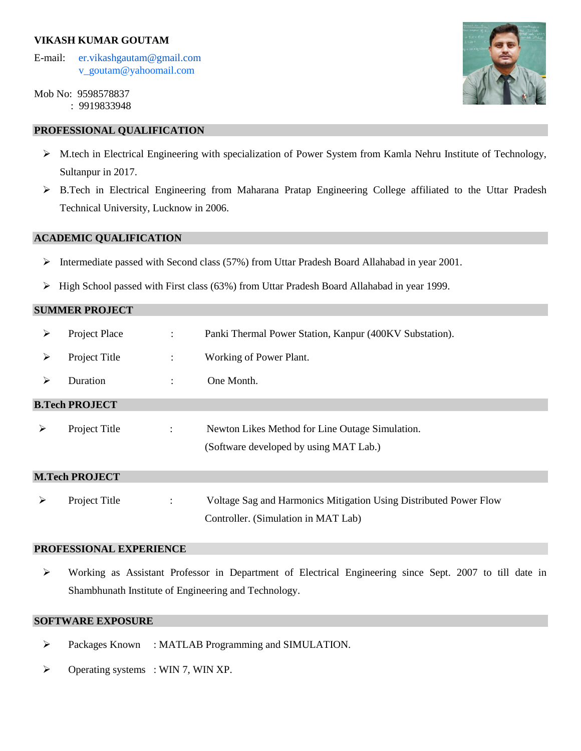## **VIKASH KUMAR GOUTAM**

- E-mail: er.vikashgautam@gmail.com [v\\_goutam@yahoomail.com](mailto:v_goutam@yahoomail.com)
- Mob No: 9598578837 : 9919833948

# **PROFESSIONAL QUALIFICATION**

- M.tech in Electrical Engineering with specialization of Power System from Kamla Nehru Institute of Technology, Sultanpur in 2017.
- B.Tech in Electrical Engineering from Maharana Pratap Engineering College affiliated to the Uttar Pradesh Technical University, Lucknow in 2006.

# **ACADEMIC QUALIFICATION**

- $\triangleright$  Intermediate passed with Second class (57%) from Uttar Pradesh Board Allahabad in year 2001.
- $\triangleright$  High School passed with First class (63%) from Uttar Pradesh Board Allahabad in year 1999.

## **SUMMER PROJECT**

| ➤                     | Project Place | $\ddot{\phantom{a}}$ | Panki Thermal Power Station, Kanpur (400KV Substation).                                   |  |  |  |
|-----------------------|---------------|----------------------|-------------------------------------------------------------------------------------------|--|--|--|
| ➤                     | Project Title | $\ddot{\phantom{a}}$ | Working of Power Plant.                                                                   |  |  |  |
| ➤                     | Duration      |                      | One Month.                                                                                |  |  |  |
| <b>B.Tech PROJECT</b> |               |                      |                                                                                           |  |  |  |
| ➤                     | Project Title | $\ddot{\phantom{0}}$ | Newton Likes Method for Line Outage Simulation.<br>(Software developed by using MAT Lab.) |  |  |  |
| <b>M.Tech PROJECT</b> |               |                      |                                                                                           |  |  |  |
| $\blacktriangleright$ | Project Title |                      | Voltage Sag and Harmonics Mitigation Using Distributed Power Flow                         |  |  |  |

### **PROFESSIONAL EXPERIENCE**

 Working as Assistant Professor in Department of Electrical Engineering since Sept. 2007 to till date in Shambhunath Institute of Engineering and Technology.

Controller. (Simulation in MAT Lab)

## **SOFTWARE EXPOSURE**

- Packages Known : MATLAB Programming and SIMULATION.
- $\triangleright$  Operating systems : WIN 7, WIN XP.

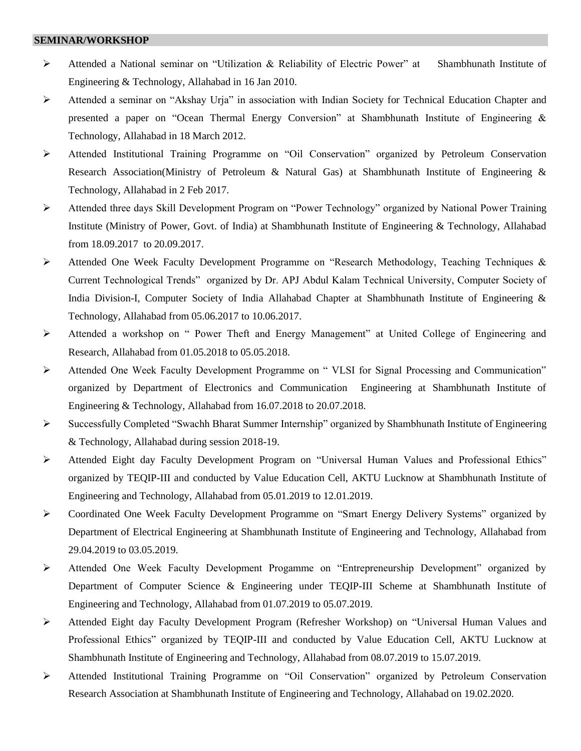#### **SEMINAR/WORKSHOP**

- Attended a National seminar on "Utilization & Reliability of Electric Power" at Shambhunath Institute of Engineering & Technology, Allahabad in 16 Jan 2010.
- $\triangleright$  Attended a seminar on "Akshay Urja" in association with Indian Society for Technical Education Chapter and presented a paper on "Ocean Thermal Energy Conversion" at Shambhunath Institute of Engineering & Technology, Allahabad in 18 March 2012.
- Attended Institutional Training Programme on "Oil Conservation" organized by Petroleum Conservation Research Association(Ministry of Petroleum & Natural Gas) at Shambhunath Institute of Engineering & Technology, Allahabad in 2 Feb 2017.
- Attended three days Skill Development Program on "Power Technology" organized by National Power Training Institute (Ministry of Power, Govt. of India) at Shambhunath Institute of Engineering & Technology, Allahabad from 18.09.2017 to 20.09.2017.
- $\triangleright$  Attended One Week Faculty Development Programme on "Research Methodology, Teaching Techniques & Current Technological Trends" organized by Dr. APJ Abdul Kalam Technical University, Computer Society of India Division-I, Computer Society of India Allahabad Chapter at Shambhunath Institute of Engineering & Technology, Allahabad from 05.06.2017 to 10.06.2017.
- Attended a workshop on " Power Theft and Energy Management" at United College of Engineering and Research, Allahabad from 01.05.2018 to 05.05.2018.
- Attended One Week Faculty Development Programme on " VLSI for Signal Processing and Communication" organized by Department of Electronics and Communication Engineering at Shambhunath Institute of Engineering & Technology, Allahabad from 16.07.2018 to 20.07.2018.
- $\triangleright$  Successfully Completed "Swachh Bharat Summer Internship" organized by Shambhunath Institute of Engineering & Technology, Allahabad during session 2018-19.
- Attended Eight day Faculty Development Program on "Universal Human Values and Professional Ethics" organized by TEQIP-III and conducted by Value Education Cell, AKTU Lucknow at Shambhunath Institute of Engineering and Technology, Allahabad from 05.01.2019 to 12.01.2019.
- Coordinated One Week Faculty Development Programme on "Smart Energy Delivery Systems" organized by Department of Electrical Engineering at Shambhunath Institute of Engineering and Technology, Allahabad from 29.04.2019 to 03.05.2019.
- Attended One Week Faculty Development Progamme on "Entrepreneurship Development" organized by Department of Computer Science & Engineering under TEQIP-III Scheme at Shambhunath Institute of Engineering and Technology, Allahabad from 01.07.2019 to 05.07.2019.
- Attended Eight day Faculty Development Program (Refresher Workshop) on "Universal Human Values and Professional Ethics" organized by TEQIP-III and conducted by Value Education Cell, AKTU Lucknow at Shambhunath Institute of Engineering and Technology, Allahabad from 08.07.2019 to 15.07.2019.
- Attended Institutional Training Programme on "Oil Conservation" organized by Petroleum Conservation Research Association at Shambhunath Institute of Engineering and Technology, Allahabad on 19.02.2020.